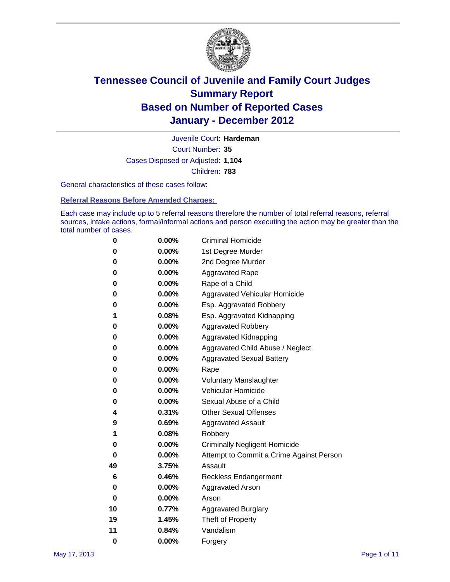

Court Number: **35** Juvenile Court: **Hardeman** Cases Disposed or Adjusted: **1,104** Children: **783**

General characteristics of these cases follow:

**Referral Reasons Before Amended Charges:** 

Each case may include up to 5 referral reasons therefore the number of total referral reasons, referral sources, intake actions, formal/informal actions and person executing the action may be greater than the total number of cases.

| 0  | 0.00% | <b>Criminal Homicide</b>                 |  |  |  |  |  |
|----|-------|------------------------------------------|--|--|--|--|--|
| 0  | 0.00% | 1st Degree Murder                        |  |  |  |  |  |
| 0  | 0.00% | 2nd Degree Murder                        |  |  |  |  |  |
| 0  | 0.00% | <b>Aggravated Rape</b>                   |  |  |  |  |  |
| 0  | 0.00% | Rape of a Child                          |  |  |  |  |  |
| 0  | 0.00% | Aggravated Vehicular Homicide            |  |  |  |  |  |
| 0  | 0.00% | Esp. Aggravated Robbery                  |  |  |  |  |  |
| 1  | 0.08% | Esp. Aggravated Kidnapping               |  |  |  |  |  |
| 0  | 0.00% | <b>Aggravated Robbery</b>                |  |  |  |  |  |
| 0  | 0.00% | Aggravated Kidnapping                    |  |  |  |  |  |
| 0  | 0.00% | Aggravated Child Abuse / Neglect         |  |  |  |  |  |
| 0  | 0.00% | <b>Aggravated Sexual Battery</b>         |  |  |  |  |  |
| 0  | 0.00% | Rape                                     |  |  |  |  |  |
| 0  | 0.00% | <b>Voluntary Manslaughter</b>            |  |  |  |  |  |
| 0  | 0.00% | Vehicular Homicide                       |  |  |  |  |  |
| 0  | 0.00% | Sexual Abuse of a Child                  |  |  |  |  |  |
| 4  | 0.31% | <b>Other Sexual Offenses</b>             |  |  |  |  |  |
| 9  | 0.69% | <b>Aggravated Assault</b>                |  |  |  |  |  |
| 1  | 0.08% | Robbery                                  |  |  |  |  |  |
| 0  | 0.00% | <b>Criminally Negligent Homicide</b>     |  |  |  |  |  |
| 0  | 0.00% | Attempt to Commit a Crime Against Person |  |  |  |  |  |
| 49 | 3.75% | Assault                                  |  |  |  |  |  |
| 6  | 0.46% | <b>Reckless Endangerment</b>             |  |  |  |  |  |
| 0  | 0.00% | <b>Aggravated Arson</b>                  |  |  |  |  |  |
| 0  | 0.00% | Arson                                    |  |  |  |  |  |
| 10 | 0.77% | <b>Aggravated Burglary</b>               |  |  |  |  |  |
| 19 | 1.45% | Theft of Property                        |  |  |  |  |  |
| 11 | 0.84% | Vandalism                                |  |  |  |  |  |
| 0  | 0.00% | Forgery                                  |  |  |  |  |  |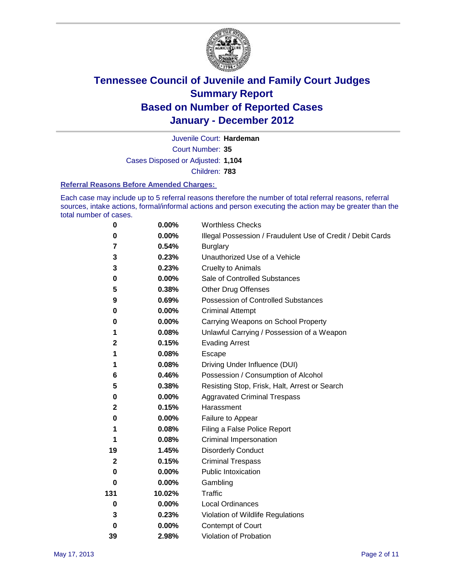

Court Number: **35** Juvenile Court: **Hardeman** Cases Disposed or Adjusted: **1,104** Children: **783**

#### **Referral Reasons Before Amended Charges:**

Each case may include up to 5 referral reasons therefore the number of total referral reasons, referral sources, intake actions, formal/informal actions and person executing the action may be greater than the total number of cases.

| $\pmb{0}$    | 0.00%    | <b>Worthless Checks</b>                                     |
|--------------|----------|-------------------------------------------------------------|
| 0            | 0.00%    | Illegal Possession / Fraudulent Use of Credit / Debit Cards |
| 7            | 0.54%    | <b>Burglary</b>                                             |
| 3            | 0.23%    | Unauthorized Use of a Vehicle                               |
| 3            | 0.23%    | <b>Cruelty to Animals</b>                                   |
| 0            | 0.00%    | Sale of Controlled Substances                               |
| 5            | 0.38%    | <b>Other Drug Offenses</b>                                  |
| 9            | 0.69%    | Possession of Controlled Substances                         |
| 0            | $0.00\%$ | <b>Criminal Attempt</b>                                     |
| 0            | 0.00%    | Carrying Weapons on School Property                         |
| 1            | 0.08%    | Unlawful Carrying / Possession of a Weapon                  |
| 2            | 0.15%    | <b>Evading Arrest</b>                                       |
| 1            | 0.08%    | Escape                                                      |
| 1            | 0.08%    | Driving Under Influence (DUI)                               |
| 6            | 0.46%    | Possession / Consumption of Alcohol                         |
| 5            | 0.38%    | Resisting Stop, Frisk, Halt, Arrest or Search               |
| 0            | $0.00\%$ | <b>Aggravated Criminal Trespass</b>                         |
| 2            | 0.15%    | Harassment                                                  |
| 0            | 0.00%    | Failure to Appear                                           |
| 1            | 0.08%    | Filing a False Police Report                                |
| 1            | 0.08%    | Criminal Impersonation                                      |
| 19           | 1.45%    | <b>Disorderly Conduct</b>                                   |
| $\mathbf{2}$ | 0.15%    | <b>Criminal Trespass</b>                                    |
| $\bf{0}$     | 0.00%    | <b>Public Intoxication</b>                                  |
| 0            | $0.00\%$ | Gambling                                                    |
| 131          | 10.02%   | Traffic                                                     |
| 0            | $0.00\%$ | <b>Local Ordinances</b>                                     |
| 3            | 0.23%    | Violation of Wildlife Regulations                           |
| 0            | $0.00\%$ | Contempt of Court                                           |
| 39           | 2.98%    | Violation of Probation                                      |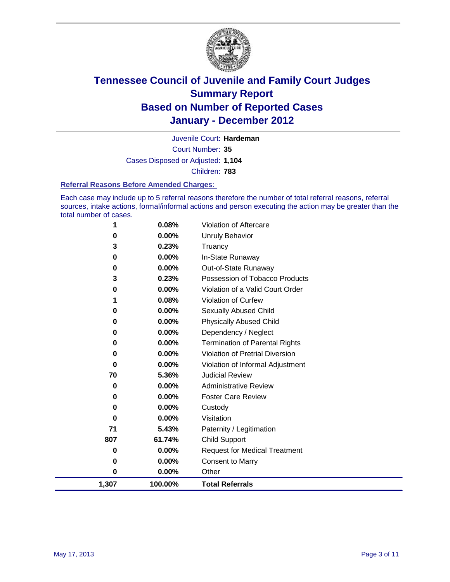

Court Number: **35** Juvenile Court: **Hardeman** Cases Disposed or Adjusted: **1,104** Children: **783**

#### **Referral Reasons Before Amended Charges:**

Each case may include up to 5 referral reasons therefore the number of total referral reasons, referral sources, intake actions, formal/informal actions and person executing the action may be greater than the total number of cases.

| 1,307    | 100.00%  | <b>Total Referrals</b>                 |
|----------|----------|----------------------------------------|
| 0        | 0.00%    | Other                                  |
| 0        | 0.00%    | <b>Consent to Marry</b>                |
| 0        | 0.00%    | <b>Request for Medical Treatment</b>   |
| 807      | 61.74%   | <b>Child Support</b>                   |
| 71       | 5.43%    | Paternity / Legitimation               |
| 0        | 0.00%    | Visitation                             |
| 0        | 0.00%    | Custody                                |
| 0        | 0.00%    | <b>Foster Care Review</b>              |
| 0        | $0.00\%$ | <b>Administrative Review</b>           |
| 70       | 5.36%    | <b>Judicial Review</b>                 |
| $\bf{0}$ | $0.00\%$ | Violation of Informal Adjustment       |
| 0        | 0.00%    | <b>Violation of Pretrial Diversion</b> |
| 0        | 0.00%    | <b>Termination of Parental Rights</b>  |
| 0        | $0.00\%$ | Dependency / Neglect                   |
| 0        | 0.00%    | <b>Physically Abused Child</b>         |
| 0        | 0.00%    | Sexually Abused Child                  |
| 1        | 0.08%    | <b>Violation of Curfew</b>             |
| 0        | $0.00\%$ | Violation of a Valid Court Order       |
| 3        | 0.23%    | Possession of Tobacco Products         |
| 0        | $0.00\%$ | Out-of-State Runaway                   |
| 0        | $0.00\%$ | In-State Runaway                       |
| 3        | 0.23%    | Truancy                                |
| 0        | 0.00%    | Unruly Behavior                        |
| 1        | 0.08%    | <b>Violation of Aftercare</b>          |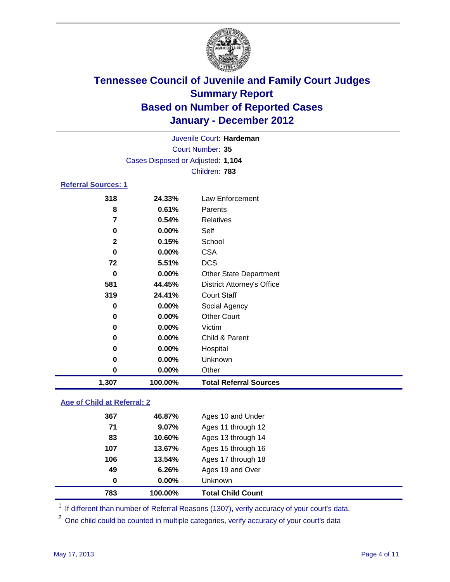

|                     |                                   | Juvenile Court: Hardeman          |  |  |  |  |  |
|---------------------|-----------------------------------|-----------------------------------|--|--|--|--|--|
|                     |                                   | Court Number: 35                  |  |  |  |  |  |
|                     | Cases Disposed or Adjusted: 1,104 |                                   |  |  |  |  |  |
|                     |                                   | Children: 783                     |  |  |  |  |  |
| Referral Sources: 1 |                                   |                                   |  |  |  |  |  |
| 318                 | 24.33%                            | Law Enforcement                   |  |  |  |  |  |
| 8                   | 0.61%                             | Parents                           |  |  |  |  |  |
| 7                   | 0.54%                             | <b>Relatives</b>                  |  |  |  |  |  |
| 0                   | $0.00\%$                          | Self                              |  |  |  |  |  |
| $\mathbf{2}$        | 0.15%                             | School                            |  |  |  |  |  |
| 0                   | $0.00\%$                          | <b>CSA</b>                        |  |  |  |  |  |
| 72                  | 5.51%                             | <b>DCS</b>                        |  |  |  |  |  |
| 0                   | $0.00\%$                          | <b>Other State Department</b>     |  |  |  |  |  |
| 581                 | 44.45%                            | <b>District Attorney's Office</b> |  |  |  |  |  |
| 319                 | 24.41%                            | <b>Court Staff</b>                |  |  |  |  |  |
| 0                   | $0.00\%$                          | Social Agency                     |  |  |  |  |  |
| 0                   | $0.00\%$                          | <b>Other Court</b>                |  |  |  |  |  |
| 0                   | 0.00%                             | Victim                            |  |  |  |  |  |

| 1,307 | 100.00%  | <b>Total Referral Sources</b> |
|-------|----------|-------------------------------|
| 0     | $0.00\%$ | Other                         |
| 0     | $0.00\%$ | Unknown                       |
| 0     | $0.00\%$ | Hospital                      |
| 0     | $0.00\%$ | Child & Parent                |
|       |          | .                             |

### **Age of Child at Referral: 2**

| 0   | $0.00\%$ | Unknown            |
|-----|----------|--------------------|
| 49  | 6.26%    | Ages 19 and Over   |
| 106 | 13.54%   | Ages 17 through 18 |
| 107 | 13.67%   | Ages 15 through 16 |
| 83  | 10.60%   | Ages 13 through 14 |
| 71  | 9.07%    | Ages 11 through 12 |
| 367 | 46.87%   | Ages 10 and Under  |
|     |          |                    |

<sup>1</sup> If different than number of Referral Reasons (1307), verify accuracy of your court's data.

<sup>2</sup> One child could be counted in multiple categories, verify accuracy of your court's data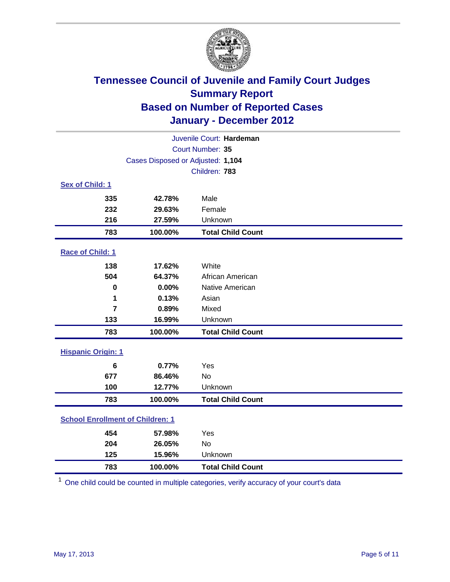

| Juvenile Court: Hardeman                |                                   |                          |  |  |
|-----------------------------------------|-----------------------------------|--------------------------|--|--|
|                                         | Court Number: 35                  |                          |  |  |
|                                         | Cases Disposed or Adjusted: 1,104 |                          |  |  |
|                                         |                                   | Children: 783            |  |  |
| Sex of Child: 1                         |                                   |                          |  |  |
| 335                                     | 42.78%                            | Male                     |  |  |
| 232                                     | 29.63%                            | Female                   |  |  |
| 216                                     | 27.59%                            | Unknown                  |  |  |
| 783                                     | 100.00%                           | <b>Total Child Count</b> |  |  |
| Race of Child: 1                        |                                   |                          |  |  |
| 138                                     | 17.62%                            | White                    |  |  |
| 504                                     | 64.37%                            | African American         |  |  |
| $\mathbf 0$                             | 0.00%                             | Native American          |  |  |
| 1                                       | 0.13%                             | Asian                    |  |  |
| $\overline{7}$                          | 0.89%                             | Mixed                    |  |  |
| 133                                     | 16.99%                            | Unknown                  |  |  |
| 783                                     | 100.00%                           | <b>Total Child Count</b> |  |  |
| <b>Hispanic Origin: 1</b>               |                                   |                          |  |  |
| $6\phantom{1}6$                         | 0.77%                             | Yes                      |  |  |
| 677                                     | 86.46%                            | No                       |  |  |
| 100                                     | 12.77%                            | Unknown                  |  |  |
| 783                                     | 100.00%                           | <b>Total Child Count</b> |  |  |
| <b>School Enrollment of Children: 1</b> |                                   |                          |  |  |
| 454                                     | 57.98%                            | Yes                      |  |  |
| 204                                     | 26.05%                            | <b>No</b>                |  |  |
| 125                                     | 15.96%                            | Unknown                  |  |  |
| 783                                     | 100.00%                           | <b>Total Child Count</b> |  |  |

One child could be counted in multiple categories, verify accuracy of your court's data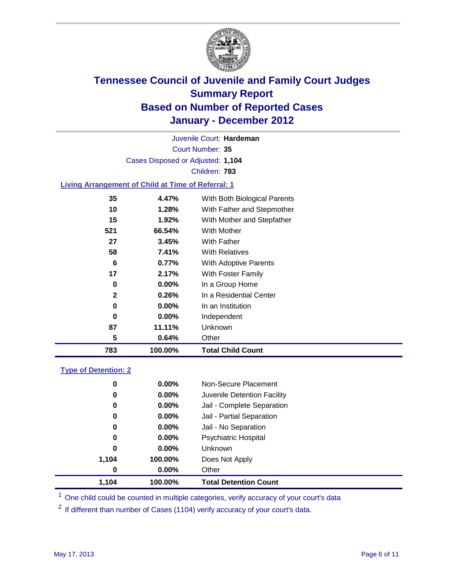

Court Number: **35** Juvenile Court: **Hardeman** Cases Disposed or Adjusted: **1,104** Children: **783**

### **Living Arrangement of Child at Time of Referral: 1**

| 783          | 100.00%  | <b>Total Child Count</b>     |
|--------------|----------|------------------------------|
| 5            | 0.64%    | Other                        |
| 87           | 11.11%   | Unknown                      |
| 0            | $0.00\%$ | Independent                  |
| 0            | $0.00\%$ | In an Institution            |
| $\mathbf{2}$ | 0.26%    | In a Residential Center      |
| 0            | $0.00\%$ | In a Group Home              |
| 17           | 2.17%    | With Foster Family           |
| 6            | 0.77%    | With Adoptive Parents        |
| 58           | 7.41%    | <b>With Relatives</b>        |
| 27           | 3.45%    | With Father                  |
| 521          | 66.54%   | With Mother                  |
| 15           | $1.92\%$ | With Mother and Stepfather   |
| 10           | 1.28%    | With Father and Stepmother   |
| 35           | 4.47%    | With Both Biological Parents |

### **Type of Detention: 2**

| 1,104 | 100.00%  | <b>Total Detention Count</b> |  |
|-------|----------|------------------------------|--|
| 0     | $0.00\%$ | Other                        |  |
| 1,104 | 100.00%  | Does Not Apply               |  |
| 0     | $0.00\%$ | <b>Unknown</b>               |  |
| 0     | 0.00%    | <b>Psychiatric Hospital</b>  |  |
| 0     | 0.00%    | Jail - No Separation         |  |
| 0     | $0.00\%$ | Jail - Partial Separation    |  |
| 0     | $0.00\%$ | Jail - Complete Separation   |  |
| 0     | 0.00%    | Juvenile Detention Facility  |  |
| 0     | $0.00\%$ | Non-Secure Placement         |  |
|       |          |                              |  |

<sup>1</sup> One child could be counted in multiple categories, verify accuracy of your court's data

<sup>2</sup> If different than number of Cases (1104) verify accuracy of your court's data.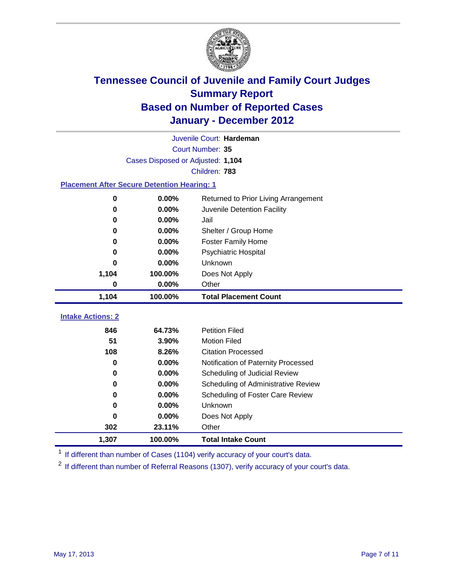

|                                                    |                                   | Juvenile Court: Hardeman             |  |  |  |
|----------------------------------------------------|-----------------------------------|--------------------------------------|--|--|--|
|                                                    | Court Number: 35                  |                                      |  |  |  |
|                                                    | Cases Disposed or Adjusted: 1,104 |                                      |  |  |  |
|                                                    |                                   | Children: 783                        |  |  |  |
| <b>Placement After Secure Detention Hearing: 1</b> |                                   |                                      |  |  |  |
| 0                                                  | 0.00%                             | Returned to Prior Living Arrangement |  |  |  |
| 0                                                  | 0.00%                             | Juvenile Detention Facility          |  |  |  |
| 0                                                  | 0.00%                             | Jail                                 |  |  |  |
| 0                                                  | 0.00%                             | Shelter / Group Home                 |  |  |  |
| 0                                                  | 0.00%                             | <b>Foster Family Home</b>            |  |  |  |
| 0                                                  | 0.00%                             | Psychiatric Hospital                 |  |  |  |
| ŋ                                                  | $0.00\%$                          | Unknown                              |  |  |  |
| 1,104                                              | 100.00%                           | Does Not Apply                       |  |  |  |
| 0                                                  | 0.00%                             | Other                                |  |  |  |
| 1,104                                              | 100.00%                           | <b>Total Placement Count</b>         |  |  |  |
|                                                    |                                   |                                      |  |  |  |
| <b>Intake Actions: 2</b>                           |                                   |                                      |  |  |  |
| 846                                                | 64.73%                            | <b>Petition Filed</b>                |  |  |  |
| 51                                                 | 3.90%                             | <b>Motion Filed</b>                  |  |  |  |
| 108                                                | 8.26%                             | <b>Citation Processed</b>            |  |  |  |
| 0                                                  | 0.00%                             | Notification of Paternity Processed  |  |  |  |
| 0                                                  | 0.00%                             | Scheduling of Judicial Review        |  |  |  |
| 0                                                  | 0.00%                             | Scheduling of Administrative Review  |  |  |  |
| 0                                                  | 0.00%                             | Scheduling of Foster Care Review     |  |  |  |
| 0                                                  | 0.00%                             | Unknown                              |  |  |  |
| 0                                                  | 0.00%                             | Does Not Apply                       |  |  |  |
| 302                                                | 23.11%                            | Other                                |  |  |  |
| 1,307                                              | 100.00%                           | <b>Total Intake Count</b>            |  |  |  |

<sup>1</sup> If different than number of Cases (1104) verify accuracy of your court's data.

<sup>2</sup> If different than number of Referral Reasons (1307), verify accuracy of your court's data.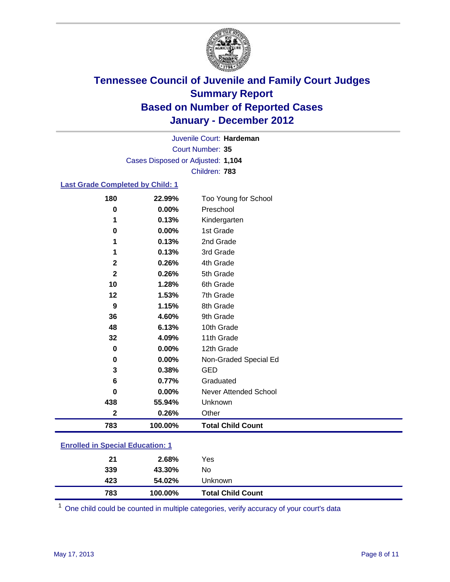

Court Number: **35** Juvenile Court: **Hardeman** Cases Disposed or Adjusted: **1,104** Children: **783**

### **Last Grade Completed by Child: 1**

| 180                                     | 22.99%  | Too Young for School         |
|-----------------------------------------|---------|------------------------------|
| 0                                       | 0.00%   | Preschool                    |
| 1                                       | 0.13%   | Kindergarten                 |
| 0                                       | 0.00%   | 1st Grade                    |
| 1                                       | 0.13%   | 2nd Grade                    |
| 1                                       | 0.13%   | 3rd Grade                    |
| $\mathbf{2}$                            | 0.26%   | 4th Grade                    |
| $\mathbf{2}$                            | 0.26%   | 5th Grade                    |
| 10                                      | 1.28%   | 6th Grade                    |
| 12                                      | 1.53%   | 7th Grade                    |
| 9                                       | 1.15%   | 8th Grade                    |
| 36                                      | 4.60%   | 9th Grade                    |
| 48                                      | 6.13%   | 10th Grade                   |
| 32                                      | 4.09%   | 11th Grade                   |
| 0                                       | 0.00%   | 12th Grade                   |
| 0                                       | 0.00%   | Non-Graded Special Ed        |
| 3                                       | 0.38%   | <b>GED</b>                   |
| 6                                       | 0.77%   | Graduated                    |
| $\bf{0}$                                | 0.00%   | <b>Never Attended School</b> |
| 438                                     | 55.94%  | Unknown                      |
| $\mathbf{2}$                            | 0.26%   | Other                        |
| 783                                     | 100.00% | <b>Total Child Count</b>     |
| <b>Enrolled in Special Education: 1</b> |         |                              |
|                                         |         |                              |

| 783 | 100.00% | Unknown<br><b>Total Child Count</b> |  |
|-----|---------|-------------------------------------|--|
| 423 | 54.02%  |                                     |  |
| 339 | 43.30%  | No                                  |  |
| 21  | 2.68%   | Yes                                 |  |
|     |         |                                     |  |

One child could be counted in multiple categories, verify accuracy of your court's data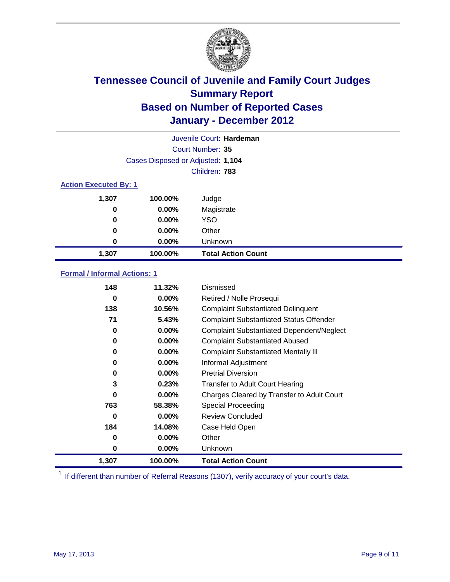

|                              |                                   | Juvenile Court: Hardeman  |  |  |  |
|------------------------------|-----------------------------------|---------------------------|--|--|--|
|                              |                                   | Court Number: 35          |  |  |  |
|                              | Cases Disposed or Adjusted: 1,104 |                           |  |  |  |
|                              |                                   | Children: 783             |  |  |  |
| <b>Action Executed By: 1</b> |                                   |                           |  |  |  |
| 1,307                        | 100.00%                           | Judge                     |  |  |  |
| 0                            | $0.00\%$                          | Magistrate                |  |  |  |
| 0                            | $0.00\%$                          | <b>YSO</b>                |  |  |  |
| 0                            | $0.00\%$                          | Other                     |  |  |  |
| 0                            | 0.00%                             | Unknown                   |  |  |  |
| 1,307                        | 100.00%                           | <b>Total Action Count</b> |  |  |  |

### **Formal / Informal Actions: 1**

| 148   | 11.32%   | Dismissed                                        |
|-------|----------|--------------------------------------------------|
| 0     | $0.00\%$ | Retired / Nolle Prosequi                         |
| 138   | 10.56%   | <b>Complaint Substantiated Delinquent</b>        |
| 71    | 5.43%    | <b>Complaint Substantiated Status Offender</b>   |
| 0     | $0.00\%$ | <b>Complaint Substantiated Dependent/Neglect</b> |
| 0     | $0.00\%$ | <b>Complaint Substantiated Abused</b>            |
| 0     | $0.00\%$ | <b>Complaint Substantiated Mentally III</b>      |
| 0     | $0.00\%$ | Informal Adjustment                              |
| 0     | $0.00\%$ | <b>Pretrial Diversion</b>                        |
| 3     | 0.23%    | <b>Transfer to Adult Court Hearing</b>           |
| 0     | $0.00\%$ | Charges Cleared by Transfer to Adult Court       |
| 763   | 58.38%   | Special Proceeding                               |
| 0     | $0.00\%$ | <b>Review Concluded</b>                          |
| 184   | 14.08%   | Case Held Open                                   |
| 0     | $0.00\%$ | Other                                            |
| 0     | $0.00\%$ | <b>Unknown</b>                                   |
| 1,307 | 100.00%  | <b>Total Action Count</b>                        |

<sup>1</sup> If different than number of Referral Reasons (1307), verify accuracy of your court's data.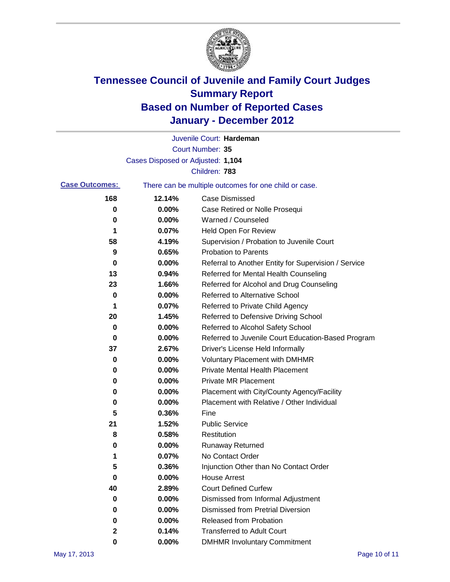

|                       |                                   | Juvenile Court: Hardeman                              |
|-----------------------|-----------------------------------|-------------------------------------------------------|
|                       |                                   | <b>Court Number: 35</b>                               |
|                       | Cases Disposed or Adjusted: 1,104 |                                                       |
|                       |                                   | Children: 783                                         |
| <b>Case Outcomes:</b> |                                   | There can be multiple outcomes for one child or case. |
| 168                   | 12.14%                            | <b>Case Dismissed</b>                                 |
| 0                     | 0.00%                             | Case Retired or Nolle Prosequi                        |
| 0                     | 0.00%                             | Warned / Counseled                                    |
| 1                     | 0.07%                             | <b>Held Open For Review</b>                           |
| 58                    | 4.19%                             | Supervision / Probation to Juvenile Court             |
| 9                     | 0.65%                             | <b>Probation to Parents</b>                           |
| 0                     | 0.00%                             | Referral to Another Entity for Supervision / Service  |
| 13                    | 0.94%                             | Referred for Mental Health Counseling                 |
| 23                    | 1.66%                             | Referred for Alcohol and Drug Counseling              |
| 0                     | 0.00%                             | <b>Referred to Alternative School</b>                 |
| 1                     | 0.07%                             | Referred to Private Child Agency                      |
| 20                    | 1.45%                             | Referred to Defensive Driving School                  |
| 0                     | 0.00%                             | Referred to Alcohol Safety School                     |
| 0                     | 0.00%                             | Referred to Juvenile Court Education-Based Program    |
| 37                    | 2.67%                             | Driver's License Held Informally                      |
| 0                     | 0.00%                             | <b>Voluntary Placement with DMHMR</b>                 |
| 0                     | 0.00%                             | <b>Private Mental Health Placement</b>                |
| 0                     | 0.00%                             | <b>Private MR Placement</b>                           |
| 0                     | 0.00%                             | Placement with City/County Agency/Facility            |
| 0                     | 0.00%                             | Placement with Relative / Other Individual            |
| 5                     | 0.36%                             | Fine                                                  |
| 21                    | 1.52%                             | <b>Public Service</b>                                 |
| 8                     | 0.58%                             | Restitution                                           |
| 0                     | 0.00%                             | <b>Runaway Returned</b>                               |
| 1                     | 0.07%                             | No Contact Order                                      |
| 5                     | 0.36%                             | Injunction Other than No Contact Order                |
| 0                     | 0.00%                             | <b>House Arrest</b>                                   |
| 40                    | 2.89%                             | <b>Court Defined Curfew</b>                           |
| 0                     | 0.00%                             | Dismissed from Informal Adjustment                    |
| 0                     | 0.00%                             | <b>Dismissed from Pretrial Diversion</b>              |
| 0                     | 0.00%                             | Released from Probation                               |
| 2                     | 0.14%                             | <b>Transferred to Adult Court</b>                     |
| 0                     | $0.00\%$                          | <b>DMHMR Involuntary Commitment</b>                   |